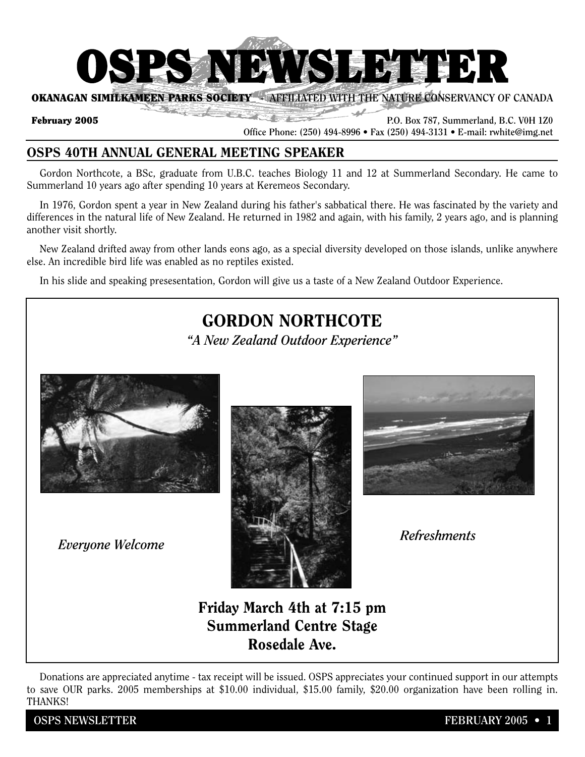

**OKANAGAN SIMILKAMEEN PARKS SOCIETY - AFFILIATED WITH THE NATURE CONSERVANCY OF CANADA**  $2\pi$  and  $\pi$ 

**February 2005 P.O. Box 787, Summerland, B.C. V0H 1Z0 P.O. Box 787, Summerland, B.C. V0H 1Z0** 

**Office Phone: (250) 494-8996 • Fax (250) 494-3131 • E-mail: rwhite@img.net**

# **OSPS 40TH ANNUAL GENERAL MEETING SPEAKER**

Gordon Northcote, a BSc, graduate from U.B.C. teaches Biology 11 and 12 at Summerland Secondary. He came to Summerland 10 years ago after spending 10 years at Keremeos Secondary.

In 1976, Gordon spent a year in New Zealand during his father's sabbatical there. He was fascinated by the variety and differences in the natural life of New Zealand. He returned in 1982 and again, with his family, 2 years ago, and is planning another visit shortly.

New Zealand drifted away from other lands eons ago, as a special diversity developed on those islands, unlike anywhere else. An incredible bird life was enabled as no reptiles existed.

In his slide and speaking presesentation, Gordon will give us a taste of a New Zealand Outdoor Experience.

# **GORDON NORTHCOTE**

*"A New Zealand Outdoor Experience"*







# **Friday March 4th at 7:15 pm Summerland Centre Stage Rosedale Ave.**

Donations are appreciated anytime - tax receipt will be issued. OSPS appreciates your continued support in our attempts to save OUR parks. 2005 memberships at \$10.00 individual, \$15.00 family, \$20.00 organization have been rolling in. THANKS!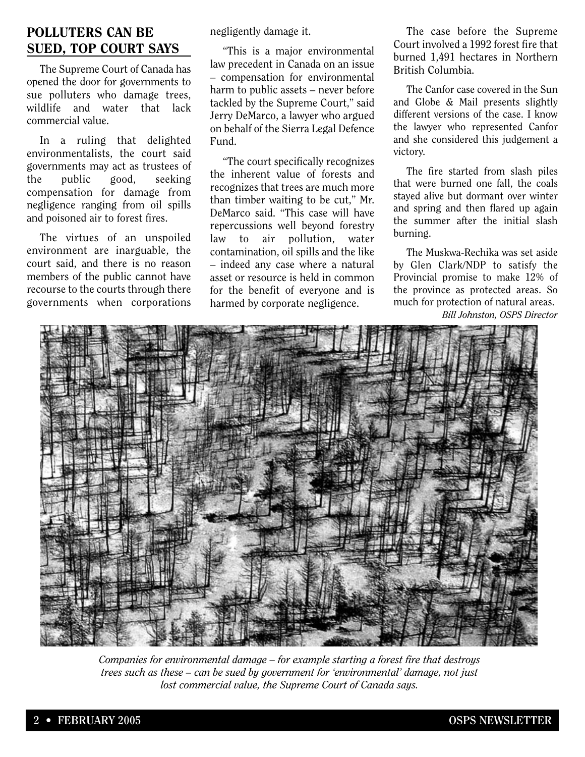## **POLLUTERS CAN BE SUED, TOP COURT SAYS**

The Supreme Court of Canada has opened the door for governments to sue polluters who damage trees, wildlife and water that lack commercial value.

In a ruling that delighted environmentalists, the court said governments may act as trustees of the public good, seeking compensation for damage from negligence ranging from oil spills and poisoned air to forest fires.

The virtues of an unspoiled environment are inarguable, the court said, and there is no reason members of the public cannot have recourse to the courts through there governments when corporations negligently damage it.

"This is a major environmental law precedent in Canada on an issue – compensation for environmental harm to public assets – never before tackled by the Supreme Court," said Jerry DeMarco, a lawyer who argued on behalf of the Sierra Legal Defence Fund.

"The court specifically recognizes the inherent value of forests and recognizes that trees are much more than timber waiting to be cut," Mr. DeMarco said. "This case will have repercussions well beyond forestry law to air pollution, water contamination, oil spills and the like – indeed any case where a natural asset or resource is held in common for the benefit of everyone and is harmed by corporate negligence.

The case before the Supreme Court involved a 1992 forest fire that burned 1,491 hectares in Northern British Columbia.

The Canfor case covered in the Sun and Globe & Mail presents slightly different versions of the case. I know the lawyer who represented Canfor and she considered this judgement a victory.

The fire started from slash piles that were burned one fall, the coals stayed alive but dormant over winter and spring and then flared up again the summer after the initial slash burning.

The Muskwa-Rechika was set aside by Glen Clark/NDP to satisfy the Provincial promise to make 12% of the province as protected areas. So much for protection of natural areas. *Bill Johnston, OSPS Director* 



*Companies for environmental damage – for example starting a forest fire that destroys trees such as these – can be sued by government for 'environmental' damage, not just lost commercial value, the Supreme Court of Canada says.*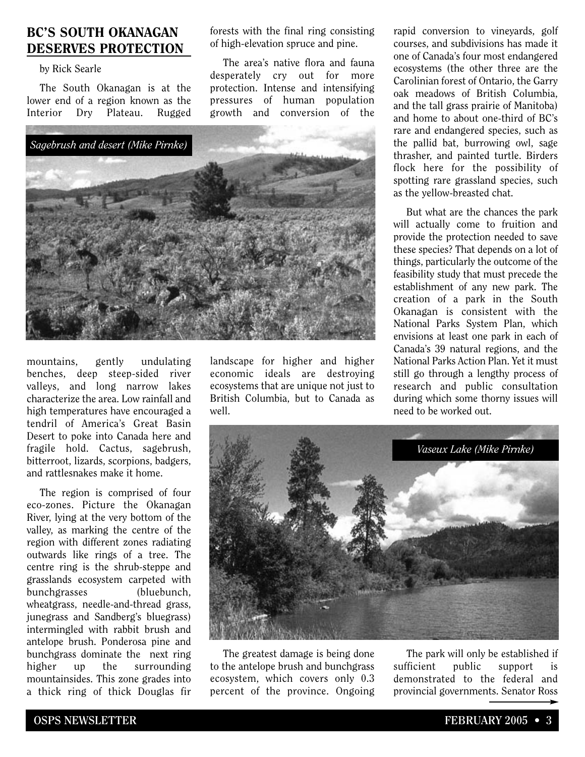### **BC'S SOUTH OKANAGAN DESERVES PROTECTION**

#### by Rick Searle

The South Okanagan is at the lower end of a region known as the Interior Dry Plateau. Rugged

*Sagebrush and desert (Mike Pirnke)*

mountains, gently undulating benches, deep steep-sided river valleys, and long narrow lakes characterize the area. Low rainfall and high temperatures have encouraged a tendril of America's Great Basin Desert to poke into Canada here and fragile hold. Cactus, sagebrush, bitterroot, lizards, scorpions, badgers, and rattlesnakes make it home.

The region is comprised of four eco-zones. Picture the Okanagan River, lying at the very bottom of the valley, as marking the centre of the region with different zones radiating outwards like rings of a tree. The centre ring is the shrub-steppe and grasslands ecosystem carpeted with bunchgrasses (bluebunch, wheatgrass, needle-and-thread grass, junegrass and Sandberg's bluegrass) intermingled with rabbit brush and antelope brush. Ponderosa pine and bunchgrass dominate the next ring higher up the surrounding mountainsides. This zone grades into a thick ring of thick Douglas fir

landscape for higher and higher economic ideals are destroying ecosystems that are unique not just to British Columbia, but to Canada as well.

forests with the final ring consisting of high-elevation spruce and pine.

The area's native flora and fauna desperately cry out for more protection. Intense and intensifying pressures of human population growth and conversion of the

rapid conversion to vineyards, golf courses, and subdivisions has made it one of Canada's four most endangered ecosystems (the other three are the Carolinian forest of Ontario, the Garry oak meadows of British Columbia, and the tall grass prairie of Manitoba) and home to about one-third of BC's rare and endangered species, such as the pallid bat, burrowing owl, sage thrasher, and painted turtle. Birders flock here for the possibility of spotting rare grassland species, such as the yellow-breasted chat.

But what are the chances the park will actually come to fruition and provide the protection needed to save these species? That depends on a lot of things, particularly the outcome of the feasibility study that must precede the establishment of any new park. The creation of a park in the South Okanagan is consistent with the National Parks System Plan, which envisions at least one park in each of Canada's 39 natural regions, and the National Parks Action Plan. Yet it must still go through a lengthy process of research and public consultation during which some thorny issues will need to be worked out.



The greatest damage is being done to the antelope brush and bunchgrass ecosystem, which covers only 0.3 percent of the province. Ongoing

The park will only be established if sufficient public support is demonstrated to the federal and provincial governments. Senator Ross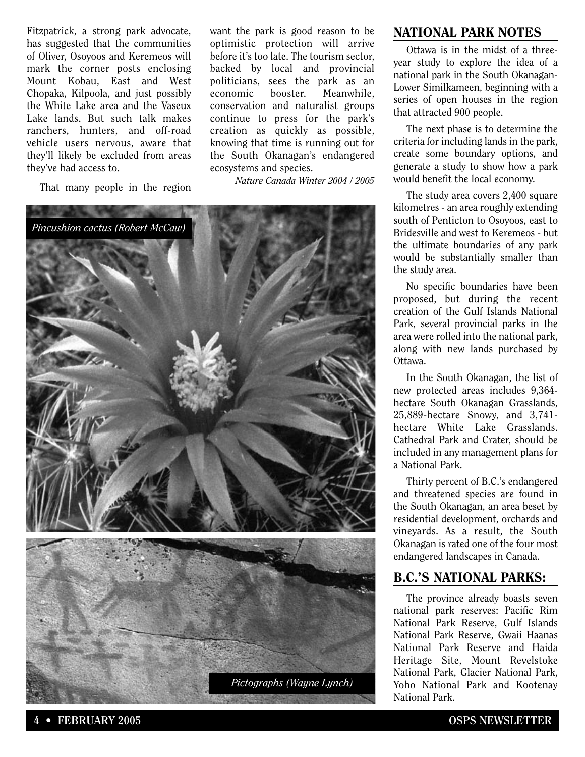Fitzpatrick, a strong park advocate, has suggested that the communities of Oliver, Osoyoos and Keremeos will mark the corner posts enclosing Mount Kobau, East and West Chopaka, Kilpoola, and just possibly the White Lake area and the Vaseux Lake lands. But such talk makes ranchers, hunters, and off-road vehicle users nervous, aware that they'll likely be excluded from areas they've had access to.

That many people in the region

want the park is good reason to be optimistic protection will arrive before it's too late. The tourism sector, backed by local and provincial politicians, sees the park as an economic booster. Meanwhile, conservation and naturalist groups continue to press for the park's creation as quickly as possible, knowing that time is running out for the South Okanagan's endangered ecosystems and species.

*Nature Canada Winter 2004 / 2005*



#### **NATIONAL PARK NOTES**

Ottawa is in the midst of a threeyear study to explore the idea of a national park in the South Okanagan-Lower Similkameen, beginning with a series of open houses in the region that attracted 900 people.

The next phase is to determine the criteria for including lands in the park, create some boundary options, and generate a study to show how a park would benefit the local economy.

The study area covers 2,400 square kilometres - an area roughly extending south of Penticton to Osoyoos, east to Bridesville and west to Keremeos - but the ultimate boundaries of any park would be substantially smaller than the study area.

No specific boundaries have been proposed, but during the recent creation of the Gulf Islands National Park, several provincial parks in the area were rolled into the national park, along with new lands purchased by Ottawa.

In the South Okanagan, the list of new protected areas includes 9,364 hectare South Okanagan Grasslands, 25,889-hectare Snowy, and 3,741 hectare White Lake Grasslands. Cathedral Park and Crater, should be included in any management plans for a National Park.

Thirty percent of B.C.'s endangered and threatened species are found in the South Okanagan, an area beset by residential development, orchards and vineyards. As a result, the South Okanagan is rated one of the four most endangered landscapes in Canada.

#### **B.C.'S NATIONAL PARKS:**

The province already boasts seven national park reserves: Pacific Rim National Park Reserve, Gulf Islands National Park Reserve, Gwaii Haanas National Park Reserve and Haida Heritage Site, Mount Revelstoke National Park, Glacier National Park, Yoho National Park and Kootenay National Park.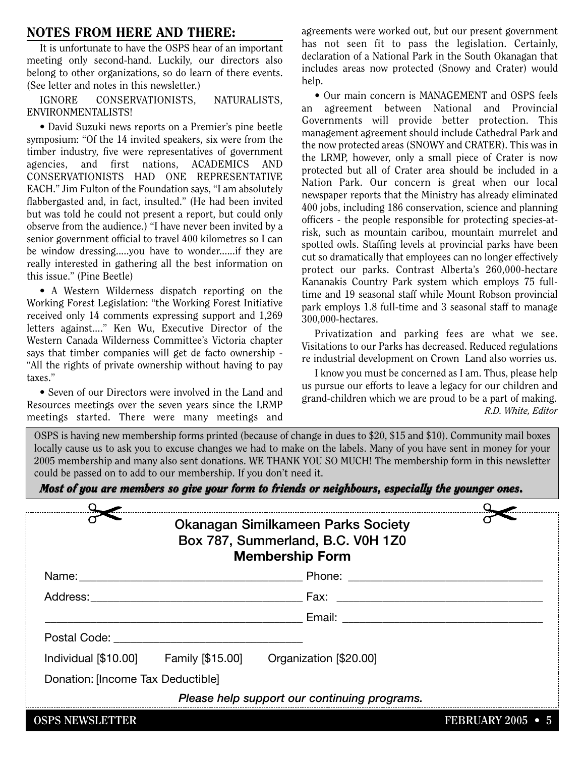#### **NOTES FROM HERE AND THERE:**

It is unfortunate to have the OSPS hear of an important meeting only second-hand. Luckily, our directors also belong to other organizations, so do learn of there events. (See letter and notes in this newsletter.)

IGNORE CONSERVATIONISTS, NATURALISTS, ENVIRONMENTALISTS!

• David Suzuki news reports on a Premier's pine beetle symposium: "Of the 14 invited speakers, six were from the timber industry, five were representatives of government agencies, and first nations, ACADEMICS AND CONSERVATIONISTS HAD ONE REPRESENTATIVE EACH." Jim Fulton of the Foundation says, "I am absolutely flabbergasted and, in fact, insulted." (He had been invited but was told he could not present a report, but could only observe from the audience.) "I have never been invited by a senior government official to travel 400 kilometres so I can be window dressing.....you have to wonder......if they are really interested in gathering all the best information on this issue." (Pine Beetle)

• A Western Wilderness dispatch reporting on the Working Forest Legislation: "the Working Forest Initiative received only 14 comments expressing support and 1,269 letters against...." Ken Wu, Executive Director of the Western Canada Wilderness Committee's Victoria chapter says that timber companies will get de facto ownership - "All the rights of private ownership without having to pay taxes."

• Seven of our Directors were involved in the Land and Resources meetings over the seven years since the LRMP meetings started. There were many meetings and agreements were worked out, but our present government has not seen fit to pass the legislation. Certainly, declaration of a National Park in the South Okanagan that includes areas now protected (Snowy and Crater) would help.

• Our main concern is MANAGEMENT and OSPS feels an agreement between National and Provincial Governments will provide better protection. This management agreement should include Cathedral Park and the now protected areas (SNOWY and CRATER). This was in the LRMP, however, only a small piece of Crater is now protected but all of Crater area should be included in a Nation Park. Our concern is great when our local newspaper reports that the Ministry has already eliminated 400 jobs, including 186 conservation, science and planning officers - the people responsible for protecting species-atrisk, such as mountain caribou, mountain murrelet and spotted owls. Staffing levels at provincial parks have been cut so dramatically that employees can no longer effectively protect our parks. Contrast Alberta's 260,000-hectare Kananakis Country Park system which employs 75 fulltime and 19 seasonal staff while Mount Robson provincial park employs 1.8 full-time and 3 seasonal staff to manage 300,000-hectares.

Privatization and parking fees are what we see. Visitations to our Parks has decreased. Reduced regulations re industrial development on Crown Land also worries us.

I know you must be concerned as I am. Thus, please help us pursue our efforts to leave a legacy for our children and grand-children which we are proud to be a part of making. *R.D. White, Editor*

OSPS is having new membership forms printed (because of change in dues to \$20, \$15 and \$10). Community mail boxes locally cause us to ask you to excuse changes we had to make on the labels. Many of you have sent in money for your 2005 membership and many also sent donations. WE THANK YOU SO MUCH! The membership form in this newsletter could be passed on to add to our membership. If you don't need it.

|  |  | Most of you are members so give your form to friends or neighbours, especially the younger ones. |
|--|--|--------------------------------------------------------------------------------------------------|
|  |  |                                                                                                  |

|                                                        |  | <b>Okanagan Similkameen Parks Society</b><br>Box 787, Summerland, B.C. V0H 1Z0<br><b>Membership Form</b> |                      |  |  |  |  |
|--------------------------------------------------------|--|----------------------------------------------------------------------------------------------------------|----------------------|--|--|--|--|
|                                                        |  |                                                                                                          |                      |  |  |  |  |
|                                                        |  |                                                                                                          |                      |  |  |  |  |
|                                                        |  |                                                                                                          |                      |  |  |  |  |
| Postal Code: The Contract of the Contract of the Code: |  |                                                                                                          |                      |  |  |  |  |
|                                                        |  | Individual [\$10.00] Family [\$15.00] Organization [\$20.00]                                             |                      |  |  |  |  |
| Donation: [Income Tax Deductible]                      |  |                                                                                                          |                      |  |  |  |  |
| Please help support our continuing programs.           |  |                                                                                                          |                      |  |  |  |  |
| <b>OSPS NEWSLETTER</b>                                 |  |                                                                                                          | <b>FEBRUARY 2005</b> |  |  |  |  |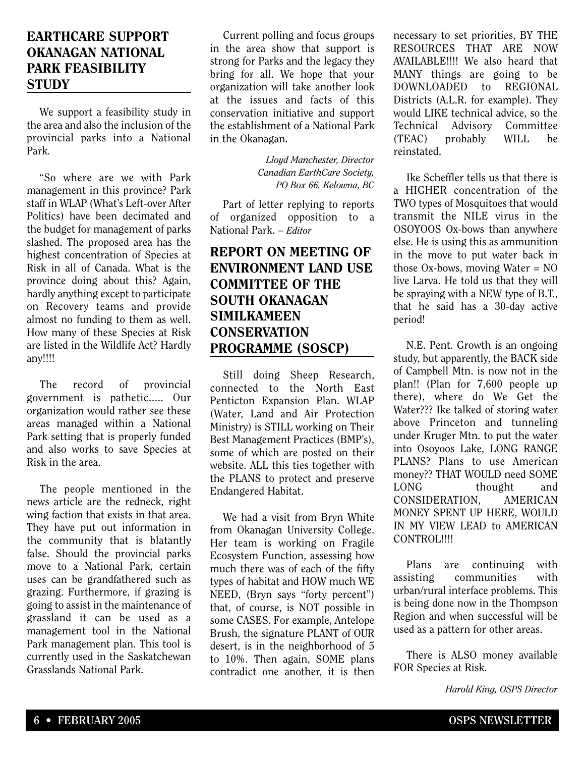## **EARTHCARE SUPPORT OKANAGAN NATIONAL PARK FEASIBILITY STUDY**

We support a feasibility study in the area and also the inclusion of the provincial parks into a National Park.

"So where are we with Park management in this province? Park staff in WLAP (What's Left-over After Politics) have been decimated and the budget for management of parks slashed. The proposed area has the highest concentration of Species at Risk in all of Canada. What is the province doing about this? Again, hardly anything except to participate on Recovery teams and provide almost no funding to them as well. How many of these Species at Risk are listed in the Wildlife Act? Hardly any!!!!

The record of provincial government is pathetic..... Our organization would rather see these areas managed within a National Park setting that is properly funded and also works to save Species at Risk in the area.

The people mentioned in the news article are the redneck, right wing faction that exists in that area. They have put out information in the community that is blatantly false. Should the provincial parks move to a National Park, certain uses can be grandfathered such as grazing. Furthermore, if grazing is going to assist in the maintenance of grassland it can be used as a management tool in the National Park management plan. This tool is currently used in the Saskatchewan Grasslands National Park.

Current polling and focus groups in the area show that support is strong for Parks and the legacy they bring for all. We hope that your organization will take another look at the issues and facts of this conservation initiative and support the establishment of a National Park in the Okanagan.

> *Lloyd Manchester, Director Canadian EarthCare Society, PO Box 66, Kelowna, BC*

Part of letter replying to reports of organized opposition to a National Park. – *Editor*

# **REPORT ON MEETING OF ENVIRONMENT LAND USE COMMITTEE OF THE SOUTH OKANAGAN SIMILKAMEEN CONSERVATION PROGRAMME (SOSCP)**

Still doing Sheep Research, connected to the North East Penticton Expansion Plan. WLAP (Water, Land and Air Protection Ministry) is STILL working on Their Best Management Practices (BMP's), some of which are posted on their website. ALL this ties together with the PLANS to protect and preserve Endangered Habitat.

We had a visit from Bryn White from Okanagan University College. Her team is working on Fragile Ecosystem Function, assessing how much there was of each of the fifty types of habitat and HOW much WE NEED, (Bryn says "forty percent") that, of course, is NOT possible in some CASES. For example, Antelope Brush, the signature PLANT of OUR desert, is in the neighborhood of 5 to 10%. Then again, SOME plans contradict one another, it is then necessary to set priorities, BY THE RESOURCES THAT ARE NOW AVAILABLE!!!! We also heard that MANY things are going to be DOWNLOADED to REGIONAL Districts (A.L.R. for example). They would LIKE technical advice, so the Technical Advisory Committee (TEAC) probably WILL be reinstated.

Ike Scheffler tells us that there is a HIGHER concentration of the TWO types of Mosquitoes that would transmit the NILE virus in the OSOYOOS Ox-bows than anywhere else. He is using this as ammunition in the move to put water back in those Ox-bows, moving Water = NO live Larva. He told us that they will be spraying with a NEW type of B.T., that he said has a 30-day active period!

N.E. Pent. Growth is an ongoing study, but apparently, the BACK side of Campbell Mtn. is now not in the plan!! (Plan for 7,600 people up there), where do We Get the Water??? Ike talked of storing water above Princeton and tunneling under Kruger Mtn. to put the water into Osoyoos Lake, LONG RANGE PLANS? Plans to use American money?? THAT WOULD need SOME LONG thought and CONSIDERATION, AMERICAN MONEY SPENT UP HERE, WOULD IN MY VIEW LEAD to AMERICAN CONTROL!!!!

Plans are continuing with assisting communities with urban/rural interface problems. This is being done now in the Thompson Region and when successful will be used as a pattern for other areas.

There is ALSO money available FOR Species at Risk.

*Harold King, OSPS Director*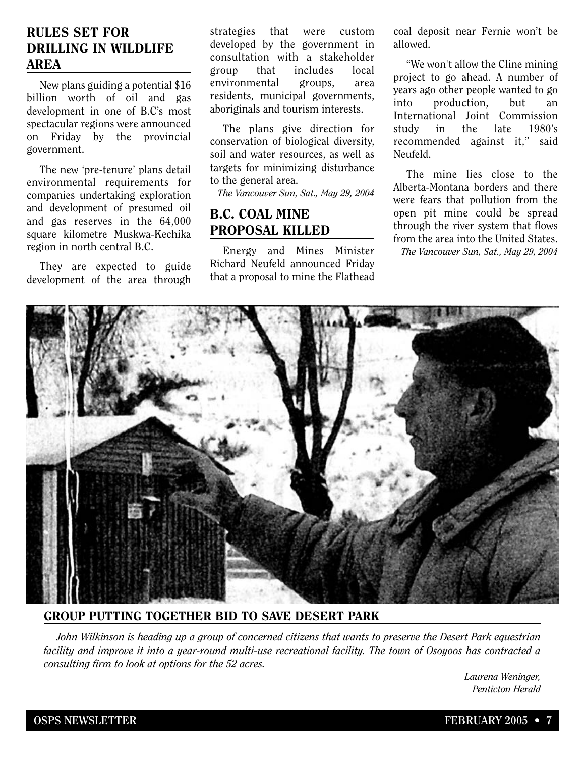#### **RULES SET FOR DRILLING IN WILDLIFE AREA**

New plans guiding a potential \$16 billion worth of oil and gas development in one of B.C's most spectacular regions were announced on Friday by the provincial government.

The new 'pre-tenure' plans detail environmental requirements for companies undertaking exploration and development of presumed oil and gas reserves in the 64,000 square kilometre Muskwa-Kechika region in north central B.C.

They are expected to guide development of the area through strategies that were custom developed by the government in consultation with a stakeholder group that includes local environmental groups, area residents, municipal governments, aboriginals and tourism interests.

The plans give direction for conservation of biological diversity, soil and water resources, as well as targets for minimizing disturbance to the general area.

*The Vancouver Sun, Sat., May 29, 2004*

#### **B.C. COAL MINE PROPOSAL KILLED**

Energy and Mines Minister Richard Neufeld announced Friday that a proposal to mine the Flathead coal deposit near Fernie won't be allowed.

"We won't allow the Cline mining project to go ahead. A number of years ago other people wanted to go into production, but an International Joint Commission study in the late 1980's recommended against it," said Neufeld.

The mine lies close to the Alberta-Montana borders and there were fears that pollution from the open pit mine could be spread through the river system that flows from the area into the United States. *The Vancouver Sun, Sat., May 29, 2004*



#### **GROUP PUTTING TOGETHER BID TO SAVE DESERT PARK**

*John Wilkinson is heading up a group of concerned citizens that wants to preserve the Desert Park equestrian facility and improve it into a year-round multi-use recreational facility. The town of Osoyoos has contracted a consulting firm to look at options for the 52 acres.*

> *Laurena Weninger, Penticton Herald*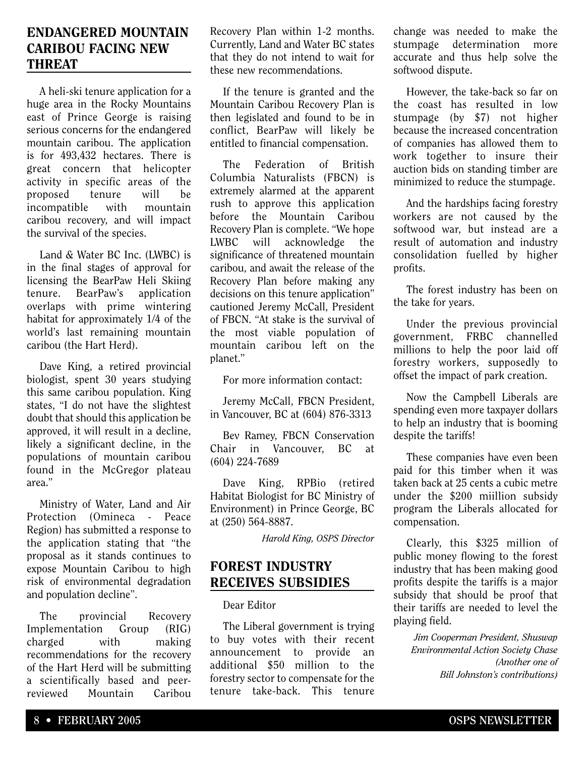#### **ENDANGERED MOUNTAIN CARIBOU FACING NEW THREAT**

A heli-ski tenure application for a huge area in the Rocky Mountains east of Prince George is raising serious concerns for the endangered mountain caribou. The application is for 493,432 hectares. There is great concern that helicopter activity in specific areas of the proposed tenure will be incompatible with mountain caribou recovery, and will impact the survival of the species.

Land & Water BC Inc. (LWBC) is in the final stages of approval for licensing the BearPaw Heli Skiing tenure. BearPaw's application overlaps with prime wintering habitat for approximately 1/4 of the world's last remaining mountain caribou (the Hart Herd).

Dave King, a retired provincial biologist, spent 30 years studying this same caribou population. King states, "I do not have the slightest doubt that should this application be approved, it will result in a decline, likely a significant decline, in the populations of mountain caribou found in the McGregor plateau area."

Ministry of Water, Land and Air Protection (Omineca - Peace Region) has submitted a response to the application stating that "the proposal as it stands continues to expose Mountain Caribou to high risk of environmental degradation and population decline".

The provincial Recovery Implementation Group (RIG) charged with making recommendations for the recovery of the Hart Herd will be submitting a scientifically based and peerreviewed Mountain Caribou Recovery Plan within 1-2 months. Currently, Land and Water BC states that they do not intend to wait for these new recommendations.

If the tenure is granted and the Mountain Caribou Recovery Plan is then legislated and found to be in conflict, BearPaw will likely be entitled to financial compensation.

The Federation of British Columbia Naturalists (FBCN) is extremely alarmed at the apparent rush to approve this application before the Mountain Caribou Recovery Plan is complete. "We hope LWBC will acknowledge the significance of threatened mountain caribou, and await the release of the Recovery Plan before making any decisions on this tenure application" cautioned Jeremy McCall, President of FBCN. "At stake is the survival of the most viable population of mountain caribou left on the planet."

For more information contact:

Jeremy McCall, FBCN President, in Vancouver, BC at (604) 876-3313

Bev Ramey, FBCN Conservation Chair in Vancouver, BC at (604) 224-7689

Dave King, RPBio (retired Habitat Biologist for BC Ministry of Environment) in Prince George, BC at (250) 564-8887.

*Harold King, OSPS Director*

## **FOREST INDUSTRY RECEIVES SUBSIDIES**

#### Dear Editor

The Liberal government is trying to buy votes with their recent announcement to provide an additional \$50 million to the forestry sector to compensate for the tenure take-back. This tenure change was needed to make the stumpage determination more accurate and thus help solve the softwood dispute.

However, the take-back so far on the coast has resulted in low stumpage (by \$7) not higher because the increased concentration of companies has allowed them to work together to insure their auction bids on standing timber are minimized to reduce the stumpage.

And the hardships facing forestry workers are not caused by the softwood war, but instead are a result of automation and industry consolidation fuelled by higher profits.

The forest industry has been on the take for years.

Under the previous provincial government, FRBC channelled millions to help the poor laid off forestry workers, supposedly to offset the impact of park creation.

Now the Campbell Liberals are spending even more taxpayer dollars to help an industry that is booming despite the tariffs!

These companies have even been paid for this timber when it was taken back at 25 cents a cubic metre under the \$200 miillion subsidy program the Liberals allocated for compensation.

Clearly, this \$325 million of public money flowing to the forest industry that has been making good profits despite the tariffs is a major subsidy that should be proof that their tariffs are needed to level the playing field.

> *Jim Cooperman President, Shuswap Environmental Action Society Chase (Another one of Bill Johnston's contributions)*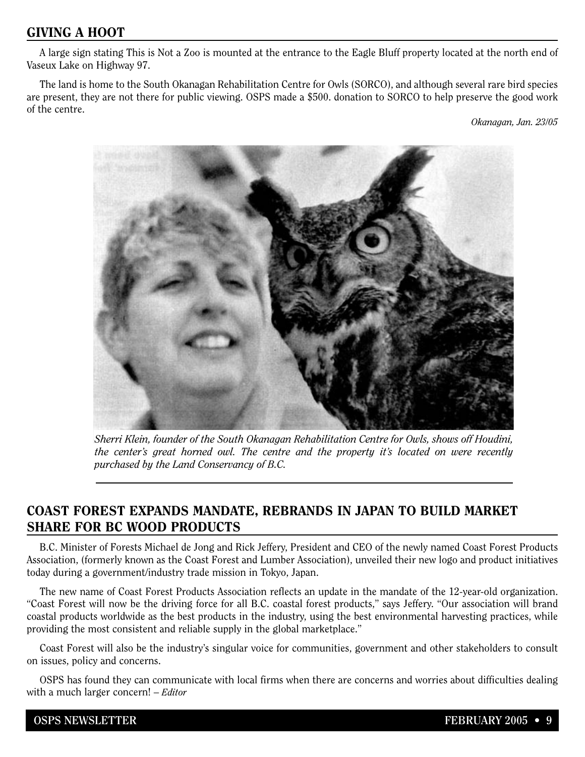# **GIVING A HOOT**

A large sign stating This is Not a Zoo is mounted at the entrance to the Eagle Bluff property located at the north end of Vaseux Lake on Highway 97.

The land is home to the South Okanagan Rehabilitation Centre for Owls (SORCO), and although several rare bird species are present, they are not there for public viewing. OSPS made a \$500. donation to SORCO to help preserve the good work of the centre.

*Okanagan, Jan. 23/05*



*Sherri Klein, founder of the South Okanagan Rehabilitation Centre for Owls, shows off Houdini, the center's great horned owl. The centre and the property it's located on were recently purchased by the Land Conservancy of B.C.*

# **COAST FOREST EXPANDS MANDATE, REBRANDS IN JAPAN TO BUILD MARKET SHARE FOR BC WOOD PRODUCTS**

B.C. Minister of Forests Michael de Jong and Rick Jeffery, President and CEO of the newly named Coast Forest Products Association, (formerly known as the Coast Forest and Lumber Association), unveiled their new logo and product initiatives today during a government/industry trade mission in Tokyo, Japan.

The new name of Coast Forest Products Association reflects an update in the mandate of the 12-year-old organization. "Coast Forest will now be the driving force for all B.C. coastal forest products," says Jeffery. "Our association will brand coastal products worldwide as the best products in the industry, using the best environmental harvesting practices, while providing the most consistent and reliable supply in the global marketplace."

Coast Forest will also be the industry's singular voice for communities, government and other stakeholders to consult on issues, policy and concerns.

OSPS has found they can communicate with local firms when there are concerns and worries about difficulties dealing with a much larger concern! – *Editor*